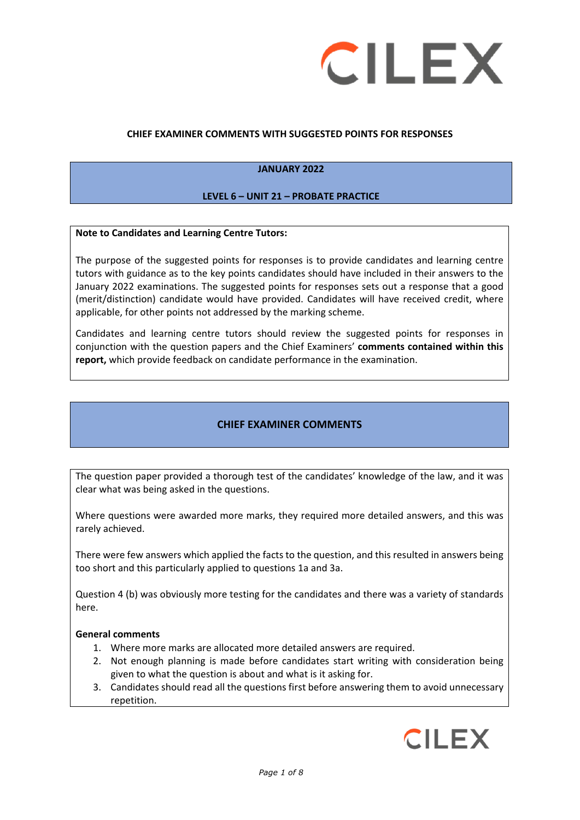

### **CHIEF EXAMINER COMMENTS WITH SUGGESTED POINTS FOR RESPONSES**

# **JANUARY 2022**

#### **LEVEL 6 – UNIT 21 – PROBATE PRACTICE**

#### **Note to Candidates and Learning Centre Tutors:**

The purpose of the suggested points for responses is to provide candidates and learning centre tutors with guidance as to the key points candidates should have included in their answers to the January 2022 examinations. The suggested points for responses sets out a response that a good (merit/distinction) candidate would have provided. Candidates will have received credit, where applicable, for other points not addressed by the marking scheme.

Candidates and learning centre tutors should review the suggested points for responses in conjunction with the question papers and the Chief Examiners' **comments contained within this report,** which provide feedback on candidate performance in the examination.

# **CHIEF EXAMINER COMMENTS**

The question paper provided a thorough test of the candidates' knowledge of the law, and it was clear what was being asked in the questions.

Where questions were awarded more marks, they required more detailed answers, and this was rarely achieved.

There were few answers which applied the facts to the question, and this resulted in answers being too short and this particularly applied to questions 1a and 3a.

Question 4 (b) was obviously more testing for the candidates and there was a variety of standards here.

#### **General comments**

- 1. Where more marks are allocated more detailed answers are required.
- 2. Not enough planning is made before candidates start writing with consideration being given to what the question is about and what is it asking for.
- 3. Candidates should read all the questions first before answering them to avoid unnecessary repetition.

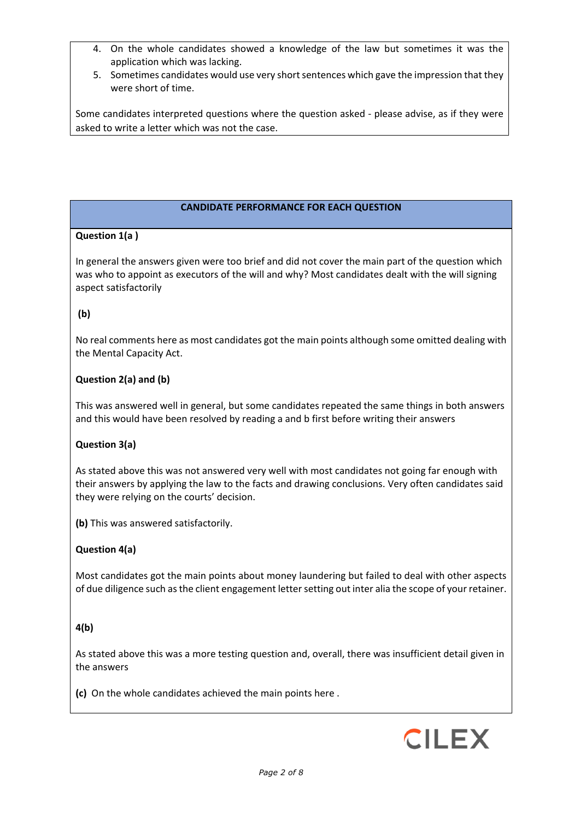- 4. On the whole candidates showed a knowledge of the law but sometimes it was the application which was lacking.
- 5. Sometimes candidates would use very short sentences which gave the impression that they were short of time.

Some candidates interpreted questions where the question asked - please advise, as if they were asked to write a letter which was not the case.

# **CANDIDATE PERFORMANCE FOR EACH QUESTION**

# **Question 1(a )**

In general the answers given were too brief and did not cover the main part of the question which was who to appoint as executors of the will and why? Most candidates dealt with the will signing aspect satisfactorily

# **(b)**

No real comments here as most candidates got the main points although some omitted dealing with the Mental Capacity Act.

# **Question 2(a) and (b)**

This was answered well in general, but some candidates repeated the same things in both answers and this would have been resolved by reading a and b first before writing their answers

# **Question 3(a)**

As stated above this was not answered very well with most candidates not going far enough with their answers by applying the law to the facts and drawing conclusions. Very often candidates said they were relying on the courts' decision.

**(b)** This was answered satisfactorily.

# **Question 4(a)**

Most candidates got the main points about money laundering but failed to deal with other aspects of due diligence such as the client engagement letter setting out inter alia the scope of your retainer.

# **4(b)**

As stated above this was a more testing question and, overall, there was insufficient detail given in the answers

**(c)** On the whole candidates achieved the main points here .

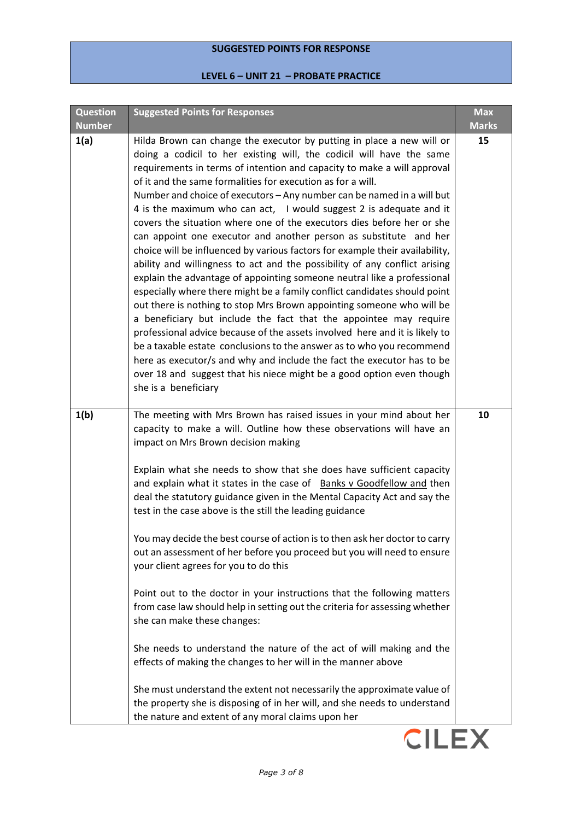# **SUGGESTED POINTS FOR RESPONSE**

# **LEVEL 6 – UNIT 21 – PROBATE PRACTICE**

| <b>Question</b><br><b>Number</b> | <b>Suggested Points for Responses</b>                                                                                                                                                                                                                                                                                                                                                                                                                                                                                                                                                                                                                                                                                                                                                                                                                                                                                                                                                                                                                                                                                                                                                                                                                                                                                                                                                         | <b>Max</b><br><b>Marks</b> |
|----------------------------------|-----------------------------------------------------------------------------------------------------------------------------------------------------------------------------------------------------------------------------------------------------------------------------------------------------------------------------------------------------------------------------------------------------------------------------------------------------------------------------------------------------------------------------------------------------------------------------------------------------------------------------------------------------------------------------------------------------------------------------------------------------------------------------------------------------------------------------------------------------------------------------------------------------------------------------------------------------------------------------------------------------------------------------------------------------------------------------------------------------------------------------------------------------------------------------------------------------------------------------------------------------------------------------------------------------------------------------------------------------------------------------------------------|----------------------------|
| 1(a)                             | Hilda Brown can change the executor by putting in place a new will or<br>doing a codicil to her existing will, the codicil will have the same<br>requirements in terms of intention and capacity to make a will approval<br>of it and the same formalities for execution as for a will.<br>Number and choice of executors - Any number can be named in a will but<br>4 is the maximum who can act, I would suggest 2 is adequate and it<br>covers the situation where one of the executors dies before her or she<br>can appoint one executor and another person as substitute and her<br>choice will be influenced by various factors for example their availability,<br>ability and willingness to act and the possibility of any conflict arising<br>explain the advantage of appointing someone neutral like a professional<br>especially where there might be a family conflict candidates should point<br>out there is nothing to stop Mrs Brown appointing someone who will be<br>a beneficiary but include the fact that the appointee may require<br>professional advice because of the assets involved here and it is likely to<br>be a taxable estate conclusions to the answer as to who you recommend<br>here as executor/s and why and include the fact the executor has to be<br>over 18 and suggest that his niece might be a good option even though<br>she is a beneficiary | 15                         |
| 1(b)                             | The meeting with Mrs Brown has raised issues in your mind about her<br>capacity to make a will. Outline how these observations will have an<br>impact on Mrs Brown decision making<br>Explain what she needs to show that she does have sufficient capacity<br>and explain what it states in the case of Banks v Goodfellow and then<br>deal the statutory guidance given in the Mental Capacity Act and say the<br>test in the case above is the still the leading guidance<br>You may decide the best course of action is to then ask her doctor to carry<br>out an assessment of her before you proceed but you will need to ensure<br>your client agrees for you to do this<br>Point out to the doctor in your instructions that the following matters<br>from case law should help in setting out the criteria for assessing whether<br>she can make these changes:<br>She needs to understand the nature of the act of will making and the<br>effects of making the changes to her will in the manner above<br>She must understand the extent not necessarily the approximate value of<br>the property she is disposing of in her will, and she needs to understand                                                                                                                                                                                                                     | 10                         |

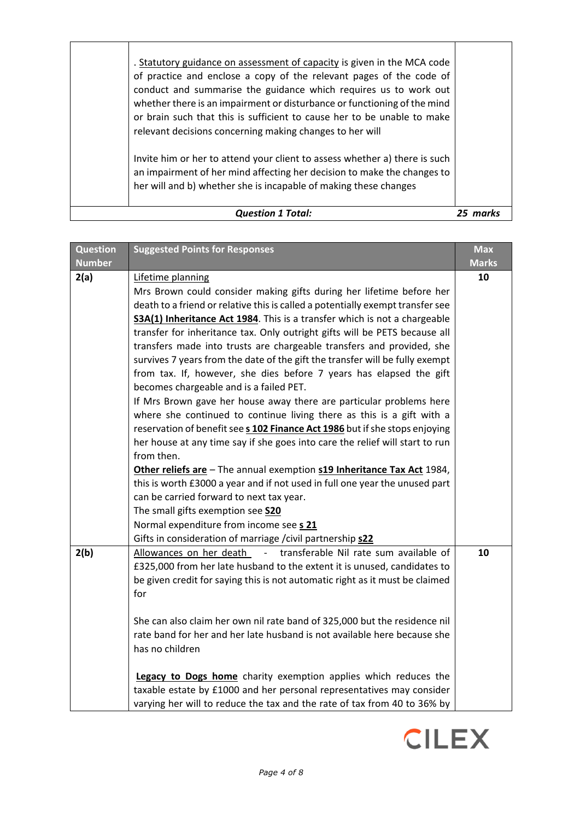| . Statutory guidance on assessment of capacity is given in the MCA code<br>of practice and enclose a copy of the relevant pages of the code of<br>conduct and summarise the guidance which requires us to work out<br>whether there is an impairment or disturbance or functioning of the mind<br>or brain such that this is sufficient to cause her to be unable to make<br>relevant decisions concerning making changes to her will |  |
|---------------------------------------------------------------------------------------------------------------------------------------------------------------------------------------------------------------------------------------------------------------------------------------------------------------------------------------------------------------------------------------------------------------------------------------|--|
| Invite him or her to attend your client to assess whether a) there is such<br>an impairment of her mind affecting her decision to make the changes to<br>her will and b) whether she is incapable of making these changes                                                                                                                                                                                                             |  |
| <b>Question 1 Total:</b>                                                                                                                                                                                                                                                                                                                                                                                                              |  |

| <b>Question</b> | <b>Suggested Points for Responses</b>                                                                                                                                                                                                                                                                                                                                                                                                                                                                                                                                                                                                                                                                                                                                                                                                                                                                                                                                                                                                                                                                                                                                                                                                                                                             | <b>Max</b>   |
|-----------------|---------------------------------------------------------------------------------------------------------------------------------------------------------------------------------------------------------------------------------------------------------------------------------------------------------------------------------------------------------------------------------------------------------------------------------------------------------------------------------------------------------------------------------------------------------------------------------------------------------------------------------------------------------------------------------------------------------------------------------------------------------------------------------------------------------------------------------------------------------------------------------------------------------------------------------------------------------------------------------------------------------------------------------------------------------------------------------------------------------------------------------------------------------------------------------------------------------------------------------------------------------------------------------------------------|--------------|
| <b>Number</b>   |                                                                                                                                                                                                                                                                                                                                                                                                                                                                                                                                                                                                                                                                                                                                                                                                                                                                                                                                                                                                                                                                                                                                                                                                                                                                                                   | <b>Marks</b> |
| 2(a)            | Lifetime planning<br>Mrs Brown could consider making gifts during her lifetime before her<br>death to a friend or relative this is called a potentially exempt transfer see<br>S3A(1) Inheritance Act 1984. This is a transfer which is not a chargeable<br>transfer for inheritance tax. Only outright gifts will be PETS because all<br>transfers made into trusts are chargeable transfers and provided, she<br>survives 7 years from the date of the gift the transfer will be fully exempt<br>from tax. If, however, she dies before 7 years has elapsed the gift<br>becomes chargeable and is a failed PET.<br>If Mrs Brown gave her house away there are particular problems here<br>where she continued to continue living there as this is a gift with a<br>reservation of benefit see s 102 Finance Act 1986 but if she stops enjoying<br>her house at any time say if she goes into care the relief will start to run<br>from then.<br>Other reliefs are - The annual exemption s19 Inheritance Tax Act 1984,<br>this is worth £3000 a year and if not used in full one year the unused part<br>can be carried forward to next tax year.<br>The small gifts exemption see S20<br>Normal expenditure from income see s 21<br>Gifts in consideration of marriage / civil partnership s22 | 10           |
| 2(b)            | Allowances on her death<br>$\omega_{\rm{max}}$<br>transferable Nil rate sum available of<br>£325,000 from her late husband to the extent it is unused, candidates to<br>be given credit for saying this is not automatic right as it must be claimed<br>for<br>She can also claim her own nil rate band of 325,000 but the residence nil<br>rate band for her and her late husband is not available here because she<br>has no children<br>Legacy to Dogs home charity exemption applies which reduces the<br>taxable estate by £1000 and her personal representatives may consider<br>varying her will to reduce the tax and the rate of tax from 40 to 36% by                                                                                                                                                                                                                                                                                                                                                                                                                                                                                                                                                                                                                                   | 10           |

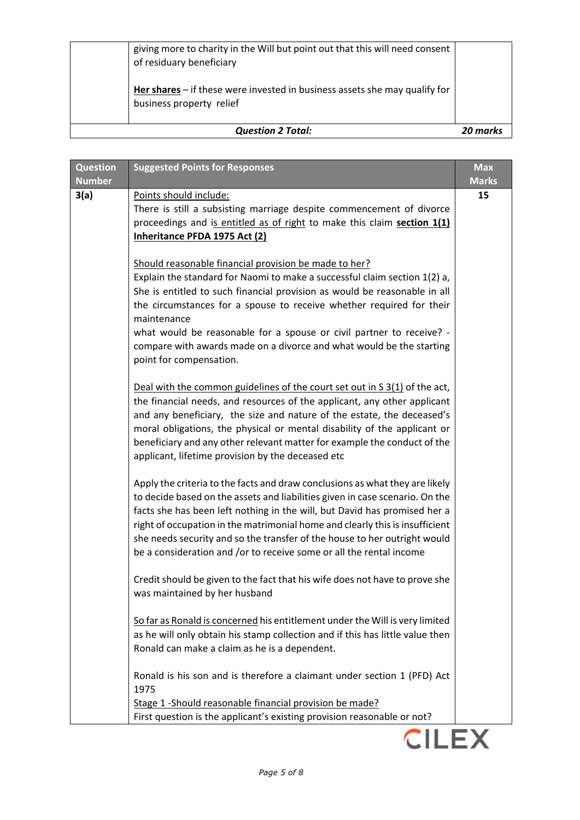| <b>Question 2 Total:</b>                                                                                 | marks |
|----------------------------------------------------------------------------------------------------------|-------|
| Her shares $-$ if these were invested in business assets she may qualify for<br>business property relief |       |
| giving more to charity in the Will but point out that this will need consent<br>of residuary beneficiary |       |

| <b>Question</b><br><b>Number</b> | <b>Suggested Points for Responses</b>                                                                                                                                                                                                                                                                                                                                                                                                                                             | <b>Max</b><br><b>Marks</b> |
|----------------------------------|-----------------------------------------------------------------------------------------------------------------------------------------------------------------------------------------------------------------------------------------------------------------------------------------------------------------------------------------------------------------------------------------------------------------------------------------------------------------------------------|----------------------------|
| 3(a)                             | Points should include:<br>There is still a subsisting marriage despite commencement of divorce<br>proceedings and is entitled as of right to make this claim section 1(1)<br>Inheritance PFDA 1975 Act (2)                                                                                                                                                                                                                                                                        | 15                         |
|                                  | Should reasonable financial provision be made to her?<br>Explain the standard for Naomi to make a successful claim section 1(2) a,<br>She is entitled to such financial provision as would be reasonable in all<br>the circumstances for a spouse to receive whether required for their<br>maintenance<br>what would be reasonable for a spouse or civil partner to receive? -<br>compare with awards made on a divorce and what would be the starting<br>point for compensation. |                            |
|                                  | Deal with the common guidelines of the court set out in S 3(1) of the act,<br>the financial needs, and resources of the applicant, any other applicant<br>and any beneficiary, the size and nature of the estate, the deceased's<br>moral obligations, the physical or mental disability of the applicant or<br>beneficiary and any other relevant matter for example the conduct of the<br>applicant, lifetime provision by the deceased etc                                     |                            |
|                                  | Apply the criteria to the facts and draw conclusions as what they are likely<br>to decide based on the assets and liabilities given in case scenario. On the<br>facts she has been left nothing in the will, but David has promised her a<br>right of occupation in the matrimonial home and clearly this is insufficient<br>she needs security and so the transfer of the house to her outright would<br>be a consideration and /or to receive some or all the rental income     |                            |
|                                  | Credit should be given to the fact that his wife does not have to prove she<br>was maintained by her husband                                                                                                                                                                                                                                                                                                                                                                      |                            |
|                                  | So far as Ronald is concerned his entitlement under the Will is very limited<br>as he will only obtain his stamp collection and if this has little value then<br>Ronald can make a claim as he is a dependent.                                                                                                                                                                                                                                                                    |                            |
|                                  | Ronald is his son and is therefore a claimant under section 1 (PFD) Act<br>1975<br>Stage 1 -Should reasonable financial provision be made?<br>First question is the applicant's existing provision reasonable or not?                                                                                                                                                                                                                                                             |                            |

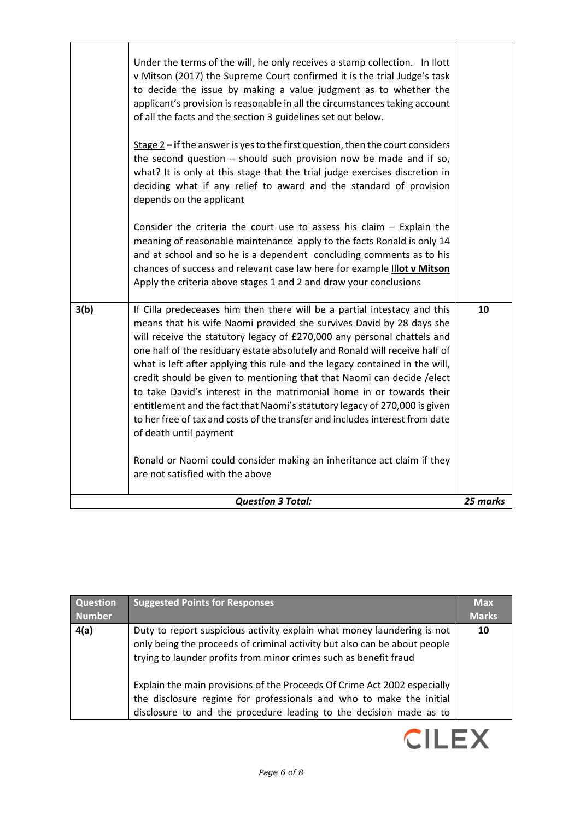|      | <b>Question 3 Total:</b>                                                                                                                                                                                                                                                                                                                                                                                                                                                                                                                                                                                                                                                                                                             | 25 marks |
|------|--------------------------------------------------------------------------------------------------------------------------------------------------------------------------------------------------------------------------------------------------------------------------------------------------------------------------------------------------------------------------------------------------------------------------------------------------------------------------------------------------------------------------------------------------------------------------------------------------------------------------------------------------------------------------------------------------------------------------------------|----------|
|      | Ronald or Naomi could consider making an inheritance act claim if they<br>are not satisfied with the above                                                                                                                                                                                                                                                                                                                                                                                                                                                                                                                                                                                                                           |          |
| 3(b) | If Cilla predeceases him then there will be a partial intestacy and this<br>means that his wife Naomi provided she survives David by 28 days she<br>will receive the statutory legacy of £270,000 any personal chattels and<br>one half of the residuary estate absolutely and Ronald will receive half of<br>what is left after applying this rule and the legacy contained in the will,<br>credit should be given to mentioning that that Naomi can decide / elect<br>to take David's interest in the matrimonial home in or towards their<br>entitlement and the fact that Naomi's statutory legacy of 270,000 is given<br>to her free of tax and costs of the transfer and includes interest from date<br>of death until payment | 10       |
|      | Consider the criteria the court use to assess his claim $-$ Explain the<br>meaning of reasonable maintenance apply to the facts Ronald is only 14<br>and at school and so he is a dependent concluding comments as to his<br>chances of success and relevant case law here for example Illot v Mitson<br>Apply the criteria above stages 1 and 2 and draw your conclusions                                                                                                                                                                                                                                                                                                                                                           |          |
|      | $Stage 2 - if the answer is yes to the first question, then the court considers$<br>the second question $-$ should such provision now be made and if so,<br>what? It is only at this stage that the trial judge exercises discretion in<br>deciding what if any relief to award and the standard of provision<br>depends on the applicant                                                                                                                                                                                                                                                                                                                                                                                            |          |
|      | Under the terms of the will, he only receives a stamp collection. In llott<br>v Mitson (2017) the Supreme Court confirmed it is the trial Judge's task<br>to decide the issue by making a value judgment as to whether the<br>applicant's provision is reasonable in all the circumstances taking account<br>of all the facts and the section 3 guidelines set out below.                                                                                                                                                                                                                                                                                                                                                            |          |
|      |                                                                                                                                                                                                                                                                                                                                                                                                                                                                                                                                                                                                                                                                                                                                      |          |

| <b>Question</b><br>Number | <b>Suggested Points for Responses</b>                                                                                                                                                                                                                                                                                                                                        | <b>Max</b><br><b>Marks</b> |
|---------------------------|------------------------------------------------------------------------------------------------------------------------------------------------------------------------------------------------------------------------------------------------------------------------------------------------------------------------------------------------------------------------------|----------------------------|
| 4(a)                      | Duty to report suspicious activity explain what money laundering is not<br>only being the proceeds of criminal activity but also can be about people<br>trying to launder profits from minor crimes such as benefit fraud<br>Explain the main provisions of the Proceeds Of Crime Act 2002 especially<br>the disclosure regime for professionals and who to make the initial | 10                         |
|                           | disclosure to and the procedure leading to the decision made as to                                                                                                                                                                                                                                                                                                           |                            |

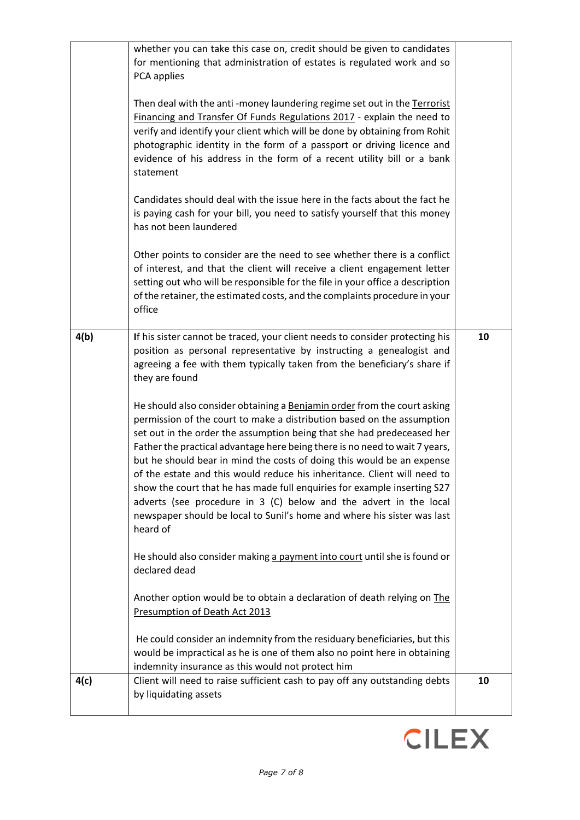|      | whether you can take this case on, credit should be given to candidates<br>for mentioning that administration of estates is regulated work and so<br>PCA applies<br>Then deal with the anti-money laundering regime set out in the Terrorist<br>Financing and Transfer Of Funds Regulations 2017 - explain the need to<br>verify and identify your client which will be done by obtaining from Rohit<br>photographic identity in the form of a passport or driving licence and<br>evidence of his address in the form of a recent utility bill or a bank<br>statement<br>Candidates should deal with the issue here in the facts about the fact he<br>is paying cash for your bill, you need to satisfy yourself that this money<br>has not been laundered<br>Other points to consider are the need to see whether there is a conflict<br>of interest, and that the client will receive a client engagement letter<br>setting out who will be responsible for the file in your office a description<br>of the retainer, the estimated costs, and the complaints procedure in your<br>office                                                                                                                                                                                                                                                                                              |    |
|------|------------------------------------------------------------------------------------------------------------------------------------------------------------------------------------------------------------------------------------------------------------------------------------------------------------------------------------------------------------------------------------------------------------------------------------------------------------------------------------------------------------------------------------------------------------------------------------------------------------------------------------------------------------------------------------------------------------------------------------------------------------------------------------------------------------------------------------------------------------------------------------------------------------------------------------------------------------------------------------------------------------------------------------------------------------------------------------------------------------------------------------------------------------------------------------------------------------------------------------------------------------------------------------------------------------------------------------------------------------------------------------------|----|
| 4(b) | If his sister cannot be traced, your client needs to consider protecting his<br>position as personal representative by instructing a genealogist and<br>agreeing a fee with them typically taken from the beneficiary's share if<br>they are found<br>He should also consider obtaining a Benjamin order from the court asking<br>permission of the court to make a distribution based on the assumption<br>set out in the order the assumption being that she had predeceased her<br>Father the practical advantage here being there is no need to wait 7 years,<br>but he should bear in mind the costs of doing this would be an expense<br>of the estate and this would reduce his inheritance. Client will need to<br>show the court that he has made full enquiries for example inserting S27<br>adverts (see procedure in 3 (C) below and the advert in the local<br>newspaper should be local to Sunil's home and where his sister was last<br>heard of<br>He should also consider making a payment into court until she is found or<br>declared dead<br>Another option would be to obtain a declaration of death relying on The<br>Presumption of Death Act 2013<br>He could consider an indemnity from the residuary beneficiaries, but this<br>would be impractical as he is one of them also no point here in obtaining<br>indemnity insurance as this would not protect him | 10 |
| 4(c) | Client will need to raise sufficient cash to pay off any outstanding debts<br>by liquidating assets                                                                                                                                                                                                                                                                                                                                                                                                                                                                                                                                                                                                                                                                                                                                                                                                                                                                                                                                                                                                                                                                                                                                                                                                                                                                                      | 10 |